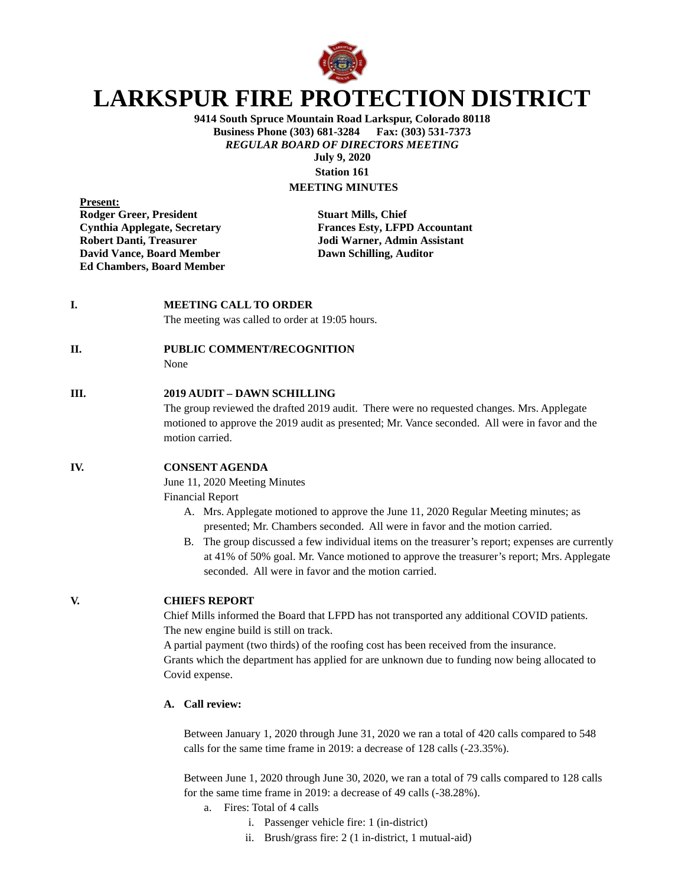

# **LARKSPUR FIRE PROTECTION DISTRICT**

**9414 South Spruce Mountain Road Larkspur, Colorado 80118 Business Phone (303) 681-3284 Fax: (303) 531-7373** *REGULAR BOARD OF DIRECTORS MEETING* **July 9, 2020**

**Station 161 MEETING MINUTES**

**Present: Rodger Greer, President Stuart Mills, Chief Robert Danti, Treasurer 1988** Jodi Warner, Admin Assistant<br>
David Vance, Board Member 1988 Dawn Schilling, Auditor **David Vance, Board Member Ed Chambers, Board Member**

**Cynthia Applegate, Secretary Frances Esty, LFPD Accountant**

#### **I. MEETING CALL TO ORDER**

The meeting was called to order at 19:05 hours.

# **II. PUBLIC COMMENT/RECOGNITION**

None

# **III. 2019 AUDIT – DAWN SCHILLING**

The group reviewed the drafted 2019 audit. There were no requested changes. Mrs. Applegate motioned to approve the 2019 audit as presented; Mr. Vance seconded. All were in favor and the motion carried.

## **IV. CONSENT AGENDA**

June 11, 2020 Meeting Minutes

Financial Report

- A. Mrs. Applegate motioned to approve the June 11, 2020 Regular Meeting minutes; as presented; Mr. Chambers seconded. All were in favor and the motion carried.
- B. The group discussed a few individual items on the treasurer's report; expenses are currently at 41% of 50% goal. Mr. Vance motioned to approve the treasurer's report; Mrs. Applegate seconded. All were in favor and the motion carried.

# **V. CHIEFS REPORT**

Chief Mills informed the Board that LFPD has not transported any additional COVID patients. The new engine build is still on track.

A partial payment (two thirds) of the roofing cost has been received from the insurance. Grants which the department has applied for are unknown due to funding now being allocated to Covid expense.

### **A. Call review:**

Between January 1, 2020 through June 31, 2020 we ran a total of 420 calls compared to 548 calls for the same time frame in 2019: a decrease of 128 calls (-23.35%).

Between June 1, 2020 through June 30, 2020, we ran a total of 79 calls compared to 128 calls for the same time frame in 2019: a decrease of 49 calls (-38.28%).

- a. Fires: Total of 4 calls
	- i. Passenger vehicle fire: 1 (in-district)
	- ii. Brush/grass fire: 2 (1 in-district, 1 mutual-aid)